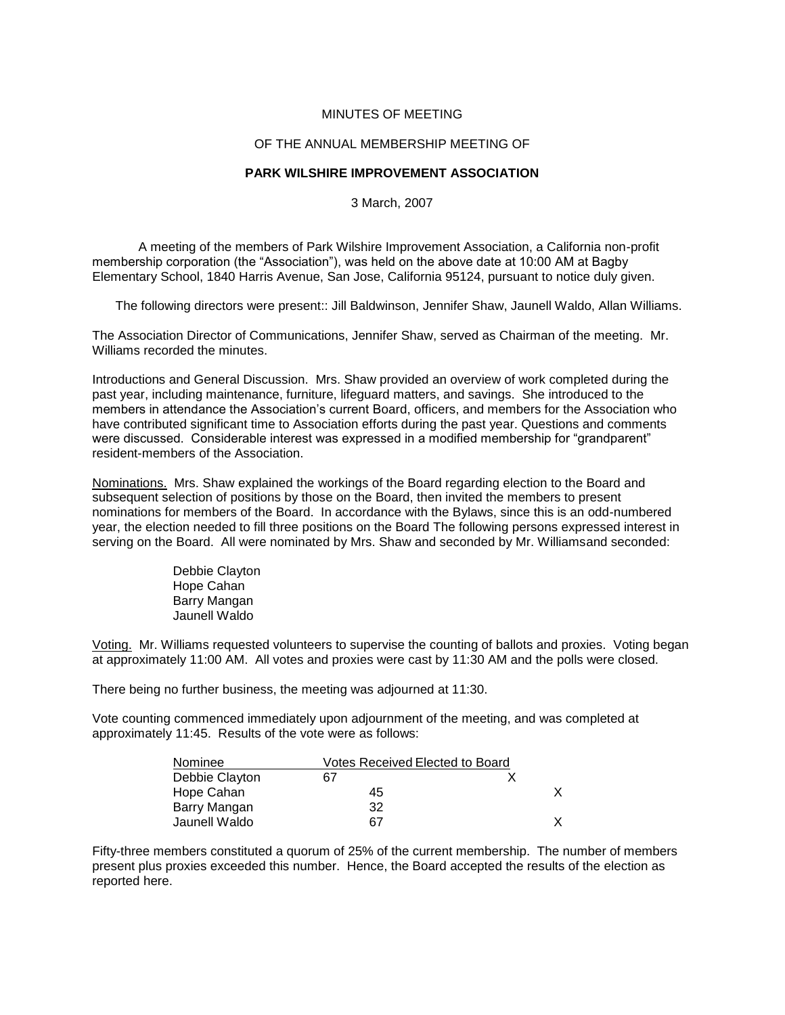## MINUTES OF MEETING

## OF THE ANNUAL MEMBERSHIP MEETING OF

## **PARK WILSHIRE IMPROVEMENT ASSOCIATION**

3 March, 2007

A meeting of the members of Park Wilshire Improvement Association, a California non-profit membership corporation (the "Association"), was held on the above date at 10:00 AM at Bagby Elementary School, 1840 Harris Avenue, San Jose, California 95124, pursuant to notice duly given.

The following directors were present:: Jill Baldwinson, Jennifer Shaw, Jaunell Waldo, Allan Williams.

The Association Director of Communications, Jennifer Shaw, served as Chairman of the meeting. Mr. Williams recorded the minutes.

Introductions and General Discussion. Mrs. Shaw provided an overview of work completed during the past year, including maintenance, furniture, lifeguard matters, and savings. She introduced to the members in attendance the Association's current Board, officers, and members for the Association who have contributed significant time to Association efforts during the past year. Questions and comments were discussed. Considerable interest was expressed in a modified membership for "grandparent" resident-members of the Association.

Nominations. Mrs. Shaw explained the workings of the Board regarding election to the Board and subsequent selection of positions by those on the Board, then invited the members to present nominations for members of the Board. In accordance with the Bylaws, since this is an odd-numbered year, the election needed to fill three positions on the Board The following persons expressed interest in serving on the Board. All were nominated by Mrs. Shaw and seconded by Mr. Williamsand seconded:

> Debbie Clayton Hope Cahan Barry Mangan Jaunell Waldo

Voting. Mr. Williams requested volunteers to supervise the counting of ballots and proxies. Voting began at approximately 11:00 AM. All votes and proxies were cast by 11:30 AM and the polls were closed.

There being no further business, the meeting was adjourned at 11:30.

Vote counting commenced immediately upon adjournment of the meeting, and was completed at approximately 11:45. Results of the vote were as follows:

| Nominee        | Votes Received Elected to Board |  |
|----------------|---------------------------------|--|
| Debbie Clayton | 67                              |  |
| Hope Cahan     | 45                              |  |
| Barry Mangan   | 32                              |  |
| Jaunell Waldo  | 67                              |  |

Fifty-three members constituted a quorum of 25% of the current membership. The number of members present plus proxies exceeded this number. Hence, the Board accepted the results of the election as reported here.